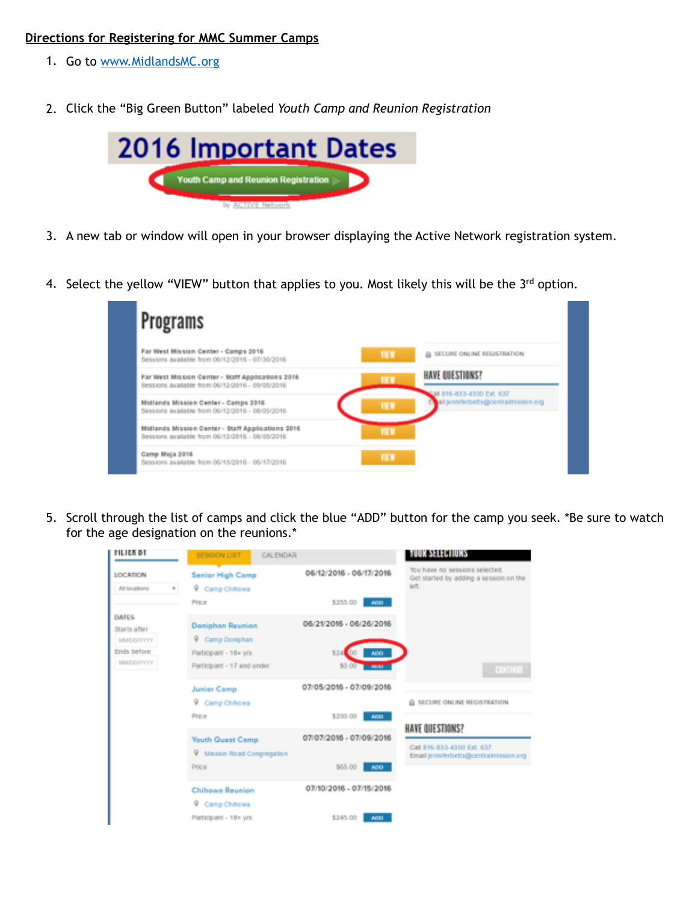## **Directions for Registering for MMC Summer Camps**

- 1. Go to [www.MidlandsMC.org](http://www.MidlandsMC.org)
- 2. Click the "Big Green Button" labeled *Youth Camp and Reunion Registration*



- 3. A new tab or window will open in your browser displaying the Active Network registration system.
- 4. Select the yellow "VIEW" button that applies to you. Most likely this will be the 3rd option.



5. Scroll through the list of camps and click the blue "ADD" button for the camp you seek. \*Be sure to watch for the age designation on the reunions.\*

| FILIEK BT                                 | SESSION LIST<br>CALENDAR                                   |                         | <b>TOUR SELECTIONS</b>                                                                         |
|-------------------------------------------|------------------------------------------------------------|-------------------------|------------------------------------------------------------------------------------------------|
| <b>LOCATION</b><br>All locations<br>٠     | Senior High Camp<br>9 Camp Chihowa                         | 06/12/2016 - 06/17/2016 | You have no sessions selected.<br>Get started by adding a session on the<br>koft.              |
|                                           | Price                                                      | \$255.00 ABO            |                                                                                                |
| <b>DATES</b><br>Starts after<br>MMDD/YYYY | <b>Doniphan Reunion</b><br><b>V</b> Camp Doniphan          | 06/21/2016 - 06/26/2016 |                                                                                                |
| Ends before<br>MADDAYYYY                  | Participant - 18+ yrs                                      | ADO-<br>\$24            |                                                                                                |
|                                           | Participant - 17 and under                                 | 50.00 most              | <b>CONTINUE</b>                                                                                |
|                                           | <b>Junier Camp</b>                                         | 07/05/2016 - 07/09/2016 |                                                                                                |
|                                           | 9 Camp Chihowa                                             |                         | A SECURE ONLINE REGISTRATION                                                                   |
|                                           | Price                                                      | \$230.00<br>ADD -       |                                                                                                |
|                                           | <b>Youth Quest Camp</b><br>Ψ.<br>Mission Road Congregation | 07/07/2016 - 07/09/2016 | <b>HAVE QUESTIONS?</b><br>Call 816-833-4300 Ext. 637<br>Email jenniferbells@centralmission.org |
|                                           | Price                                                      | \$65.00<br>ADD          |                                                                                                |
|                                           | <b>Chihowa Reunion</b><br><b>V</b> Camp Chihowa            | 07/10/2016 - 07/15/2016 |                                                                                                |
|                                           | Participant - 18+ yrs                                      | \$245.00<br>ADD-        |                                                                                                |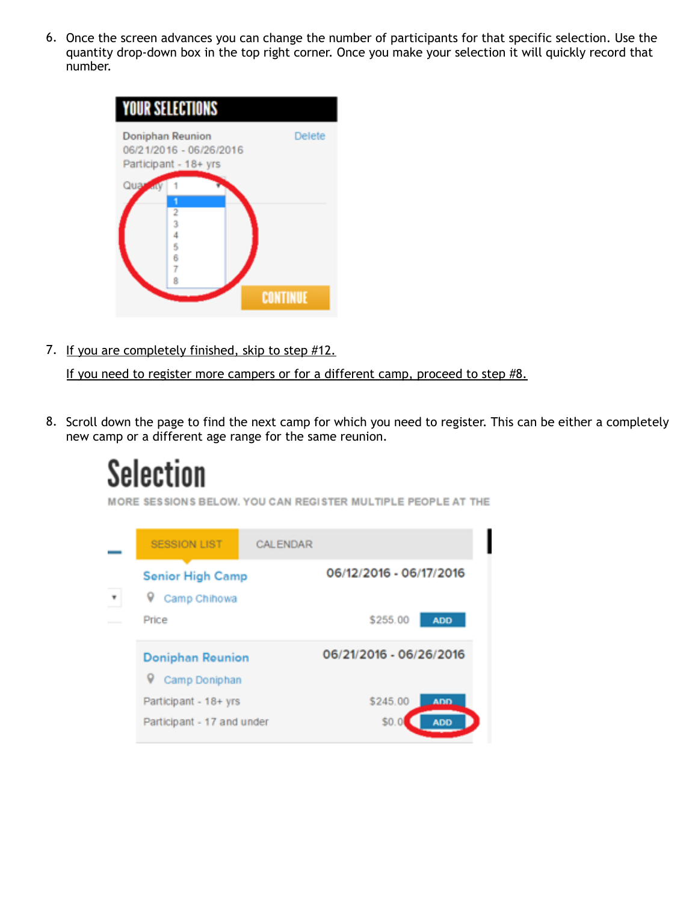6. Once the screen advances you can change the number of participants for that specific selection. Use the quantity drop-down box in the top right corner. Once you make your selection it will quickly record that number.



7. If you are completely finished, skip to step #12.

If you need to register more campers or for a different camp, proceed to step #8.

8. Scroll down the page to find the next camp for which you need to register. This can be either a completely new camp or a different age range for the same reunion.

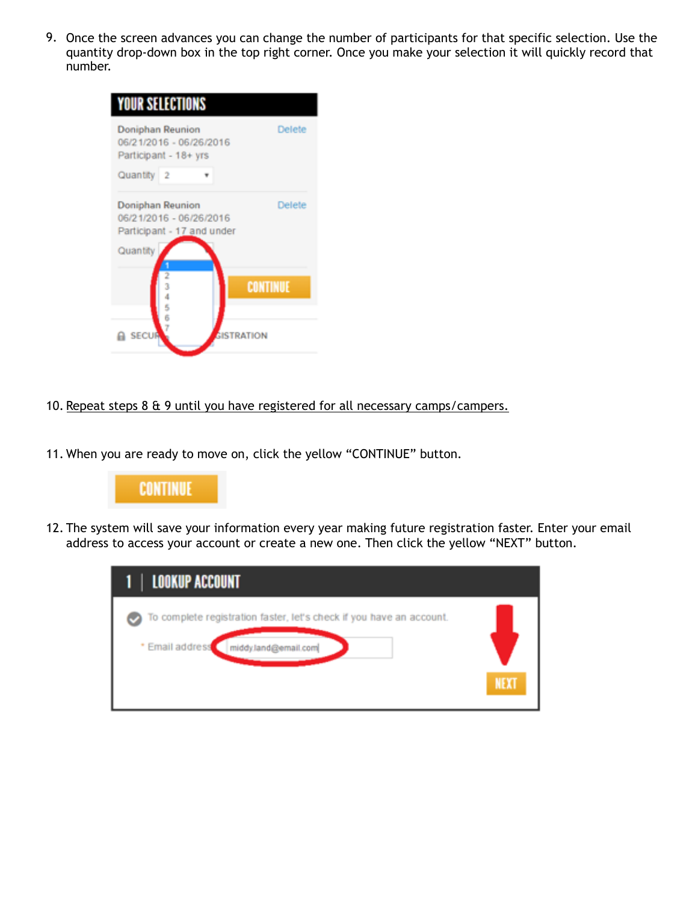9. Once the screen advances you can change the number of participants for that specific selection. Use the quantity drop-down box in the top right corner. Once you make your selection it will quickly record that number.

| <b>YOUR SELECTIONS</b>                                                                       |                 |
|----------------------------------------------------------------------------------------------|-----------------|
| <b>Doniphan Reunion</b><br>06/21/2016 - 06/26/2016<br>Participant - 18+ yrs                  | Delete          |
| Quantity<br>$\overline{2}$                                                                   |                 |
| <b>Doniphan Reunion</b><br>06/21/2016 - 06/26/2016<br>Participant - 17 and under<br>Quantity | Delete          |
| 67<br><b>SECUR</b><br><b>GISTRATION</b>                                                      | <b>CONTINUE</b> |

## 10. Repeat steps 8 & 9 until you have registered for all necessary camps/campers.

11. When you are ready to move on, click the yellow "CONTINUE" button.



12. The system will save your information every year making future registration faster. Enter your email address to access your account or create a new one. Then click the yellow "NEXT" button.

| <b>1   LOOKUP ACCOUNT</b>                                                                                       |             |
|-----------------------------------------------------------------------------------------------------------------|-------------|
| To complete registration faster, let's check if you have an account.<br>* Email address<br>middy.land@email.com | <b>NEXT</b> |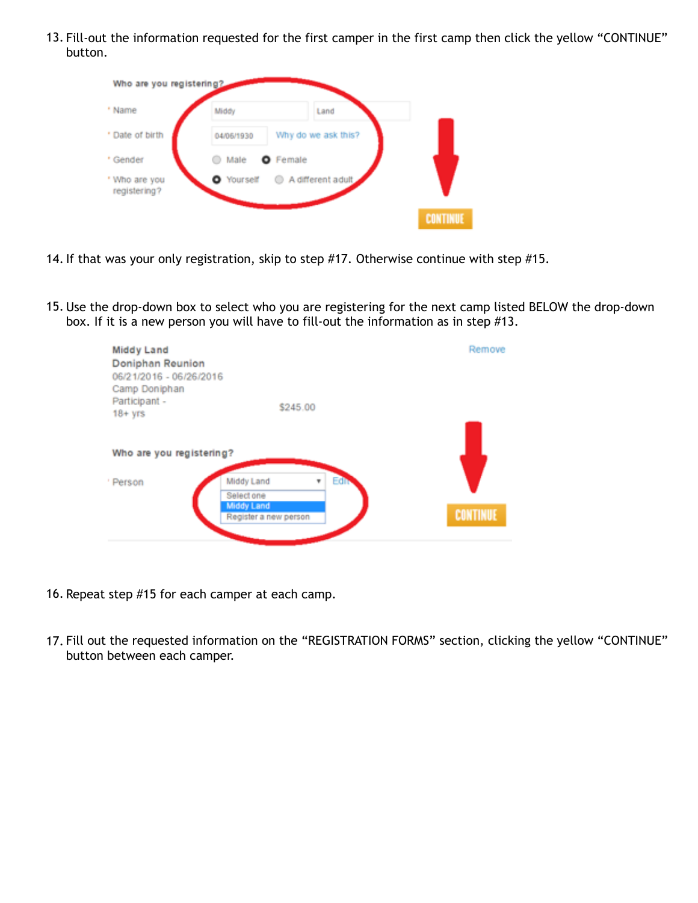13. Fill-out the information requested for the first camper in the first camp then click the yellow "CONTINUE" button.

| Who are you registering?      |                                |                     |                 |
|-------------------------------|--------------------------------|---------------------|-----------------|
| * Name                        | Middy                          | Land                |                 |
| * Date of birth               | 04/06/1930                     | Why do we ask this? |                 |
| * Gender                      | Male<br>$\hspace{0.5cm} \circ$ | <b>O</b> Female     |                 |
| * Who are you<br>registering? |                                |                     |                 |
|                               |                                |                     | <b>CONTINUE</b> |

- 14. If that was your only registration, skip to step #17. Otherwise continue with step #15.
- 15. Use the drop-down box to select who you are registering for the next camp listed BELOW the drop-down box. If it is a new person you will have to fill-out the information as in step #13.

| Middy Land<br>Doniphan Reunion<br>06/21/2016 - 06/26/2016<br>Camp Doniphan |                                                                                      | Remove          |
|----------------------------------------------------------------------------|--------------------------------------------------------------------------------------|-----------------|
| Participant -<br>$18 + yrs$                                                | \$245.00                                                                             |                 |
| Who are you registering?                                                   |                                                                                      |                 |
| ' Person                                                                   | Edity<br>Middy Land<br>v<br>Select one<br><b>Middy Land</b><br>Register a new person | <b>CONTINUE</b> |

- 16. Repeat step #15 for each camper at each camp.
- 17. Fill out the requested information on the "REGISTRATION FORMS" section, clicking the yellow "CONTINUE" button between each camper.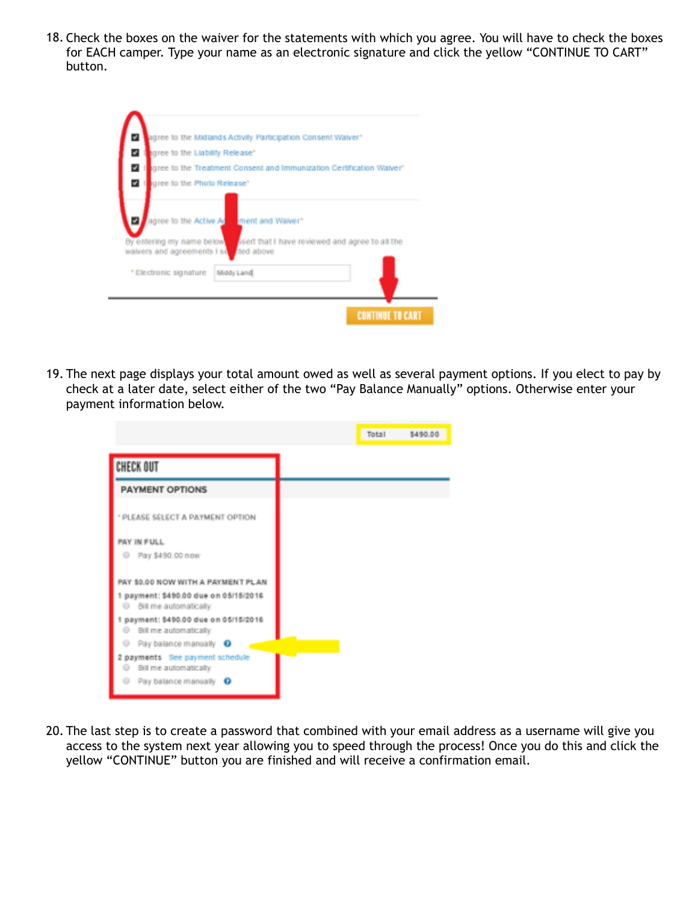18. Check the boxes on the waiver for the statements with which you agree. You will have to check the boxes for EACH camper. Type your name as an electronic signature and click the yellow "CONTINUE TO CART" button.

| z<br>agree to the Liability Release"     |                                                                                                                      |
|------------------------------------------|----------------------------------------------------------------------------------------------------------------------|
|                                          | igree to the Treatment Consent and Immunization Certification Waiver*                                                |
| <b>VII</b><br>gree to the Photo Release* |                                                                                                                      |
|                                          | By entering my name below. Seeft that I have reviewed and agree to all the<br>waivers and agreements I so thed above |

19. The next page displays your total amount owed as well as several payment options. If you elect to pay by check at a later date, select either of the two "Pay Balance Manually" options. Otherwise enter your payment information below.

|                                                                                                                                                 | Total |
|-------------------------------------------------------------------------------------------------------------------------------------------------|-------|
| CHECK OUT                                                                                                                                       |       |
| <b>PAYMENT OPTIONS</b>                                                                                                                          |       |
| * PLEASE SELECT A PAYMENT OPTION                                                                                                                |       |
| PAY IN FULL<br>@ Pay \$490.00 now                                                                                                               |       |
| PAY \$0.00 NOW WITH A PAYMENT PLAN<br>1 payment: \$490.00 due on 05/15/2016<br>@ Bill me automatically<br>1 payment: \$490.00 due on 05/15/2016 |       |
| <sup>(i)</sup> Bill me automatically<br>C Pay balance manually O                                                                                |       |
| 2 payments See payment schedule<br>Bill me automatically<br>$^{\circ}$<br>o<br>Pay balance manually O                                           |       |

20. The last step is to create a password that combined with your email address as a username will give you access to the system next year allowing you to speed through the process! Once you do this and click the yellow "CONTINUE" button you are finished and will receive a confirmation email.